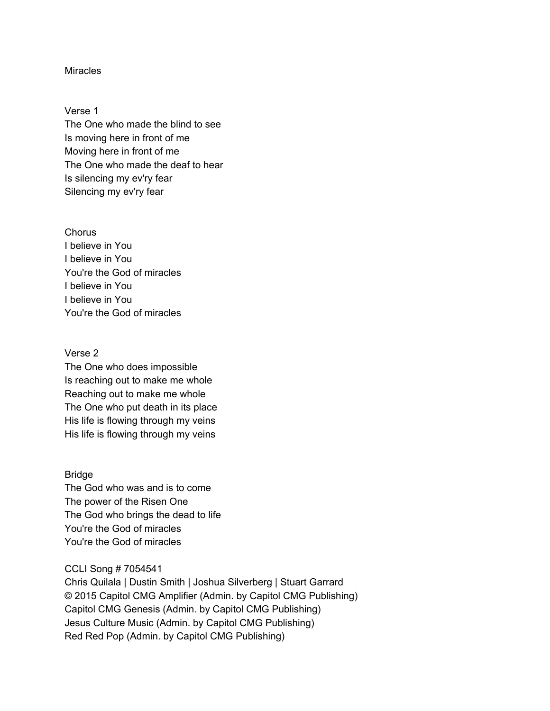## **Miracles**

Verse 1 The One who made the blind to see Is moving here in front of me Moving here in front of me The One who made the deaf to hear Is silencing my ev'ry fear Silencing my ev'ry fear

**Chorus** I believe in You I believe in You You're the God of miracles I believe in You I believe in You You're the God of miracles

## Verse 2

The One who does impossible Is reaching out to make me whole Reaching out to make me whole The One who put death in its place His life is flowing through my veins His life is flowing through my veins

## Bridge

The God who was and is to come The power of the Risen One The God who brings the dead to life You're the God of miracles You're the God of miracles

## CCLI Song # 7054541

Chris Quilala | Dustin Smith | Joshua Silverberg | Stuart Garrard © 2015 Capitol CMG Amplifier (Admin. by Capitol CMG Publishing) Capitol CMG Genesis (Admin. by Capitol CMG Publishing) Jesus Culture Music (Admin. by Capitol CMG Publishing) Red Red Pop (Admin. by Capitol CMG Publishing)